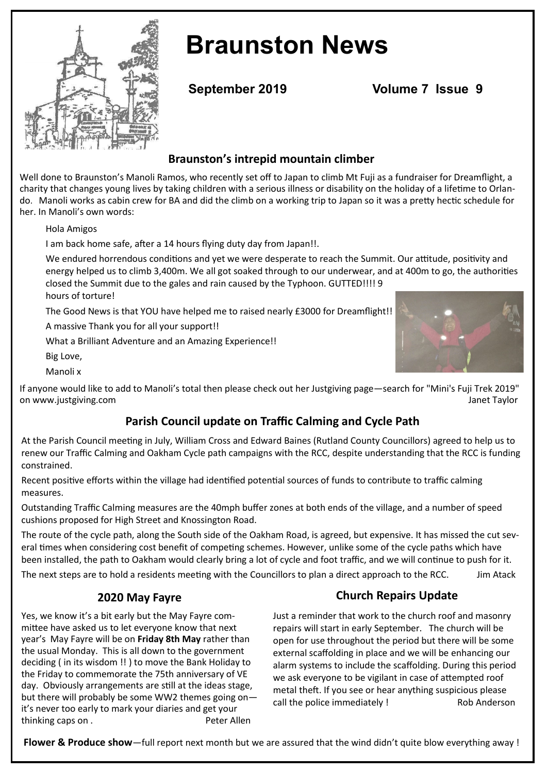

# **Braunston News**

**September 2019 Volume 7 Issue 9**

## **Braunston's intrepid mountain climber**

Well done to Braunston's Manoli Ramos, who recently set off to Japan to climb Mt Fuji as a fundraiser for Dreamflight, a charity that changes young lives by taking children with a serious illness or disability on the holiday of a lifetime to Orlando. Manoli works as cabin crew for BA and did the climb on a working trip to Japan so it was a pretty hectic schedule for her. In Manoli's own words:

Hola Amigos

I am back home safe, after a 14 hours flying duty day from Japan!!.

We endured horrendous conditions and yet we were desperate to reach the Summit. Our attitude, positivity and energy helped us to climb 3,400m. We all got soaked through to our underwear, and at 400m to go, the authorities closed the Summit due to the gales and rain caused by the Typhoon. GUTTED!!!! 9 hours of torture!

The Good News is that YOU have helped me to raised nearly £3000 for Dreamflight!!

A massive Thank you for all your support!!

What a Brilliant Adventure and an Amazing Experience!!

Big Love,

Manoli x

If anyone would like to add to Manoli's total then please check out her Justgiving page—search for "Mini's Fuji Trek 2019" on [www.justgiving.com](https://www.justgiving.com/) **Janet Taylor Communistyle Structure Taylor Janet Taylor Janet Taylor** 

## **Parish Council update on Traffic Calming and Cycle Path**

At the Parish Council meeting in July, William Cross and Edward Baines (Rutland County Councillors) agreed to help us to renew our Traffic Calming and Oakham Cycle path campaigns with the RCC, despite understanding that the RCC is funding constrained.

Recent positive efforts within the village had identified potential sources of funds to contribute to traffic calming measures.

Outstanding Traffic Calming measures are the 40mph buffer zones at both ends of the village, and a number of speed cushions proposed for High Street and Knossington Road.

The route of the cycle path, along the South side of the Oakham Road, is agreed, but expensive. It has missed the cut several times when considering cost benefit of competing schemes. However, unlike some of the cycle paths which have been installed, the path to Oakham would clearly bring a lot of cycle and foot traffic, and we will continue to push for it.

The next steps are to hold a residents meeting with the Councillors to plan a direct approach to the RCC. Jim Atack

## **2020 May Fayre**

Yes, we know it's a bit early but the May Fayre committee have asked us to let everyone know that next year's May Fayre will be on **Friday 8th May** rather than the usual Monday. This is all down to the government deciding ( in its wisdom !! ) to move the Bank Holiday to the Friday to commemorate the 75th anniversary of VE day. Obviously arrangements are still at the ideas stage, but there will probably be some WW2 themes going on it's never too early to mark your diaries and get your thinking caps on . This results of the Peter Allen

## **Church Repairs Update**

Just a reminder that work to the church roof and masonry repairs will start in early September. The church will be open for use throughout the period but there will be some external scaffolding in place and we will be enhancing our alarm systems to include the scaffolding. During this period we ask everyone to be vigilant in case of attempted roof metal theft. If you see or hear anything suspicious please call the police immediately ! Rob Anderson

**Flower & Produce show**—full report next month but we are assured that the wind didn't quite blow everything away !